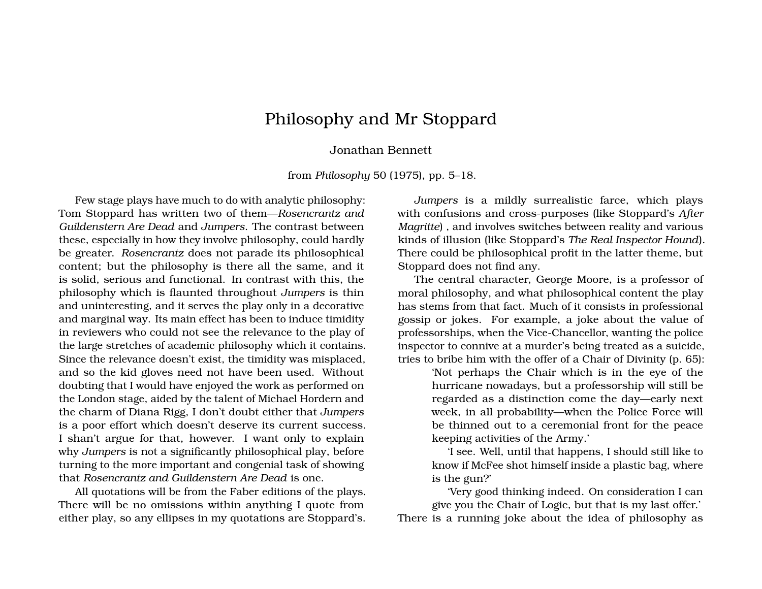## Philosophy and Mr Stoppard

## Jonathan Bennett

from *Philosophy* 50 (1975), pp. 5–18.

Few stage plays have much to do with analytic philosophy: Tom Stoppard has written two of them—*Rosencrantz and Guildenstern Are Dead* and *Jumpers*. The contrast between these, especially in how they involve philosophy, could hardly be greater. *Rosencrantz* does not parade its philosophical content; but the philosophy is there all the same, and it is solid, serious and functional. In contrast with this, the philosophy which is flaunted throughout *Jumpers* is thin and uninteresting, and it serves the play only in a decorative and marginal way. Its main effect has been to induce timidity in reviewers who could not see the relevance to the play of the large stretches of academic philosophy which it contains. Since the relevance doesn't exist, the timidity was misplaced, and so the kid gloves need not have been used. Without doubting that I would have enjoyed the work as performed on the London stage, aided by the talent of Michael Hordern and the charm of Diana Rigg, I don't doubt either that *Jumpers* is a poor effort which doesn't deserve its current success. I shan't argue for that, however. I want only to explain why *Jumpers* is not a significantly philosophical play, before turning to the more important and congenial task of showing that *Rosencrantz and Guildenstern Are Dead* is one.

All quotations will be from the Faber editions of the plays. There will be no omissions within anything I quote from either play, so any ellipses in my quotations are Stoppard's.

*Jumpers* is a mildly surrealistic farce, which plays with confusions and cross-purposes (like Stoppard's *After Magritte*) , and involves switches between reality and various kinds of illusion (like Stoppard's *The Real Inspector Hound*). There could be philosophical profit in the latter theme, but Stoppard does not find any.

The central character, George Moore, is a professor of moral philosophy, and what philosophical content the play has stems from that fact. Much of it consists in professional gossip or jokes. For example, a joke about the value of professorships, when the Vice-Chancellor, wanting the police inspector to connive at a murder's being treated as a suicide, tries to bribe him with the offer of a Chair of Divinity (p. 65):

> 'Not perhaps the Chair which is in the eye of the hurricane nowadays, but a professorship will still be regarded as a distinction come the day—early next week, in all probability—when the Police Force will be thinned out to a ceremonial front for the peace keeping activities of the Army.'

> 'I see. Well, until that happens, I should still like to know if McFee shot himself inside a plastic bag, where is the gun?'

'Very good thinking indeed. On consideration I can give you the Chair of Logic, but that is my last offer.' There is a running joke about the idea of philosophy as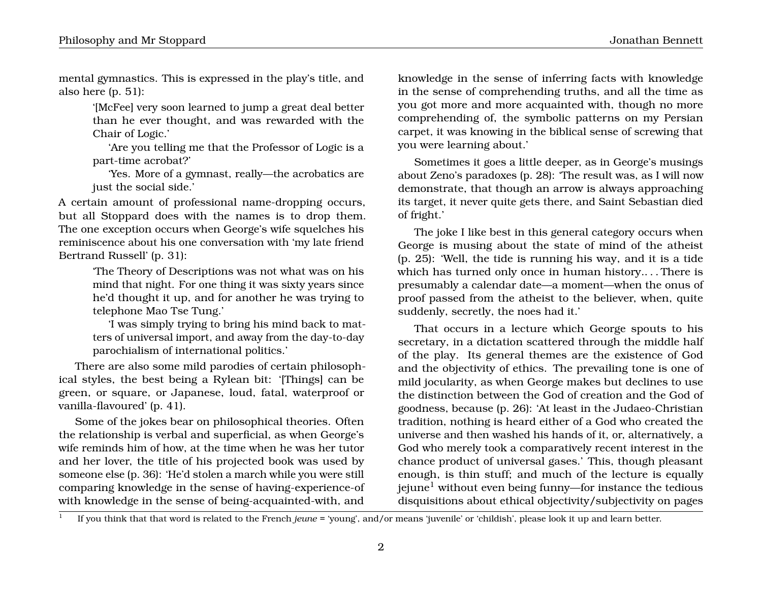mental gymnastics. This is expressed in the play's title, and also here (p. 51):

> '[McFee] very soon learned to jump a great deal better than he ever thought, and was rewarded with the Chair of Logic.'

> 'Are you telling me that the Professor of Logic is a part-time acrobat?'

> 'Yes. More of a gymnast, really—the acrobatics are just the social side.'

A certain amount of professional name-dropping occurs, but all Stoppard does with the names is to drop them. The one exception occurs when George's wife squelches his reminiscence about his one conversation with 'my late friend Bertrand Russell' (p. 31):

> 'The Theory of Descriptions was not what was on his mind that night. For one thing it was sixty years since he'd thought it up, and for another he was trying to telephone Mao Tse Tung.'

> 'I was simply trying to bring his mind back to matters of universal import, and away from the day-to-day parochialism of international politics.'

There are also some mild parodies of certain philosophical styles, the best being a Rylean bit: '[Things] can be green, or square, or Japanese, loud, fatal, waterproof or vanilla-flavoured' (p. 41).

Some of the jokes bear on philosophical theories. Often the relationship is verbal and superficial, as when George's wife reminds him of how, at the time when he was her tutor and her lover, the title of his projected book was used by someone else (p. 36): 'He'd stolen a march while you were still comparing knowledge in the sense of having-experience-of with knowledge in the sense of being-acquainted-with, and

knowledge in the sense of inferring facts with knowledge in the sense of comprehending truths, and all the time as you got more and more acquainted with, though no more comprehending of, the symbolic patterns on my Persian carpet, it was knowing in the biblical sense of screwing that you were learning about.'

Sometimes it goes a little deeper, as in George's musings about Zeno's paradoxes (p. 28): 'The result was, as I will now demonstrate, that though an arrow is always approaching its target, it never quite gets there, and Saint Sebastian died of fright.'

The joke I like best in this general category occurs when George is musing about the state of mind of the atheist (p. 25): 'Well, the tide is running his way, and it is a tide which has turned only once in human history.. . . There is presumably a calendar date—a moment—when the onus of proof passed from the atheist to the believer, when, quite suddenly, secretly, the noes had it.'

That occurs in a lecture which George spouts to his secretary, in a dictation scattered through the middle half of the play. Its general themes are the existence of God and the objectivity of ethics. The prevailing tone is one of mild jocularity, as when George makes but declines to use the distinction between the God of creation and the God of goodness, because (p. 26): 'At least in the Judaeo-Christian tradition, nothing is heard either of a God who created the universe and then washed his hands of it, or, alternatively, a God who merely took a comparatively recent interest in the chance product of universal gases.' This, though pleasant enough, is thin stuff; and much of the lecture is equally  $j$ ejune<sup>1</sup> without even being funny—for instance the tedious disquisitions about ethical objectivity/subjectivity on pages

1 If you think that that word is related to the French *jeune* = 'young', and/or means 'juvenile' or 'childish', please look it up and learn better.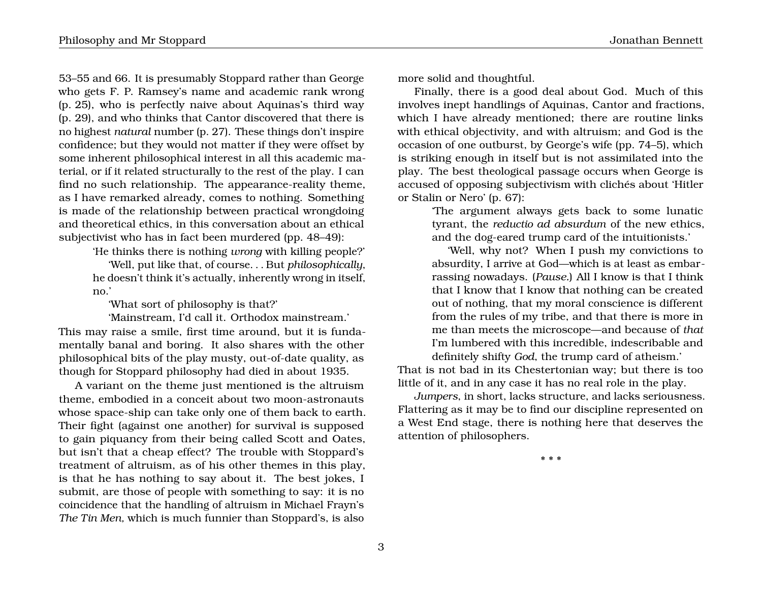53–55 and 66. It is presumably Stoppard rather than George who gets F. P. Ramsey's name and academic rank wrong (p. 25), who is perfectly naive about Aquinas's third way (p. 29), and who thinks that Cantor discovered that there is no highest *natural* number (p. 27). These things don't inspire confidence; but they would not matter if they were offset by some inherent philosophical interest in all this academic material, or if it related structurally to the rest of the play. I can find no such relationship. The appearance-reality theme, as I have remarked already, comes to nothing. Something is made of the relationship between practical wrongdoing and theoretical ethics, in this conversation about an ethical subjectivist who has in fact been murdered (pp. 48–49):

'He thinks there is nothing *wrong* with killing people?'

'Well, put like that, of course. . . But *philosophically*, he doesn't think it's actually, inherently wrong in itself, no.'

'What sort of philosophy is that?'

'Mainstream, I'd call it. Orthodox mainstream.' This may raise a smile, first time around, but it is fundamentally banal and boring. It also shares with the other philosophical bits of the play musty, out-of-date quality, as though for Stoppard philosophy had died in about 1935.

A variant on the theme just mentioned is the altruism theme, embodied in a conceit about two moon-astronauts whose space-ship can take only one of them back to earth. Their fight (against one another) for survival is supposed to gain piquancy from their being called Scott and Oates, but isn't that a cheap effect? The trouble with Stoppard's treatment of altruism, as of his other themes in this play, is that he has nothing to say about it. The best jokes, I submit, are those of people with something to say: it is no coincidence that the handling of altruism in Michael Frayn's *The Tin Men,* which is much funnier than Stoppard's, is also

more solid and thoughtful.

Finally, there is a good deal about God. Much of this involves inept handlings of Aquinas, Cantor and fractions, which I have already mentioned; there are routine links with ethical objectivity, and with altruism; and God is the occasion of one outburst, by George's wife (pp. 74–5), which is striking enough in itself but is not assimilated into the play. The best theological passage occurs when George is accused of opposing subjectivism with clichés about 'Hitler or Stalin or Nero' (p. 67):

> 'The argument always gets back to some lunatic tyrant, the *reductio ad absurdum* of the new ethics, and the dog-eared trump card of the intuitionists.'

> 'Well, why not? When I push my convictions to absurdity, I arrive at God—which is at least as embarrassing nowadays. (*Pause.*) All I know is that I think that I know that I know that nothing can be created out of nothing, that my moral conscience is different from the rules of my tribe, and that there is more in me than meets the microscope—and because of *that* I'm lumbered with this incredible, indescribable and definitely shifty *God*, the trump card of atheism.'

That is not bad in its Chestertonian way; but there is too little of it, and in any case it has no real role in the play.

*Jumpers*, in short, lacks structure, and lacks seriousness. Flattering as it may be to find our discipline represented on a West End stage, there is nothing here that deserves the attention of philosophers.

\* \* \*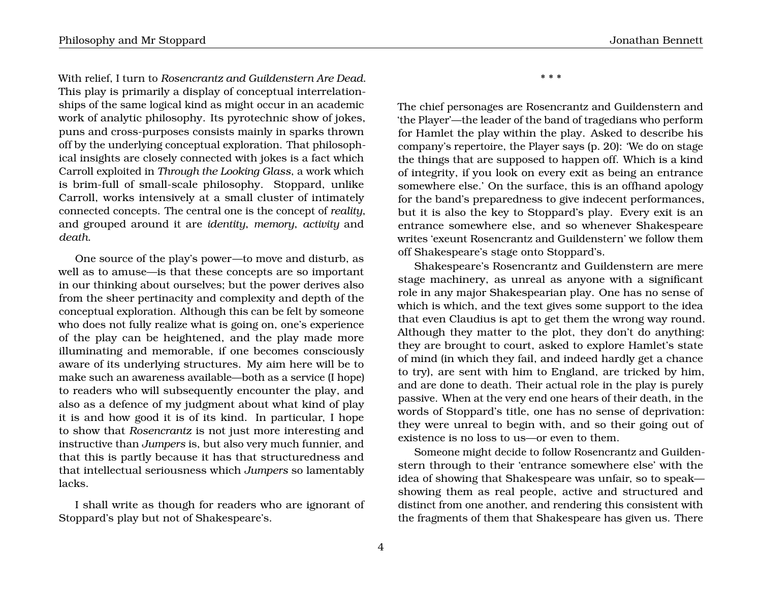With relief, I turn to *Rosencrantz and Guildenstern Are Dead*. This play is primarily a display of conceptual interrelationships of the same logical kind as might occur in an academic work of analytic philosophy. Its pyrotechnic show of jokes, puns and cross-purposes consists mainly in sparks thrown off by the underlying conceptual exploration. That philosophical insights are closely connected with jokes is a fact which Carroll exploited in *Through the Looking Glass*, a work which is brim-full of small-scale philosophy. Stoppard, unlike Carroll, works intensively at a small cluster of intimately connected concepts. The central one is the concept of *reality*, and grouped around it are *identity*, *memory*, *activity* and *death*.

One source of the play's power—to move and disturb, as well as to amuse—is that these concepts are so important in our thinking about ourselves; but the power derives also from the sheer pertinacity and complexity and depth of the conceptual exploration. Although this can be felt by someone who does not fully realize what is going on, one's experience of the play can be heightened, and the play made more illuminating and memorable, if one becomes consciously aware of its underlying structures. My aim here will be to make such an awareness available—both as a service (I hope) to readers who will subsequently encounter the play, and also as a defence of my judgment about what kind of play it is and how good it is of its kind. In particular, I hope to show that *Rosencrantz* is not just more interesting and instructive than *Jumpers* is, but also very much funnier, and that this is partly because it has that structuredness and that intellectual seriousness which *Jumpers* so lamentably lacks.

I shall write as though for readers who are ignorant of Stoppard's play but not of Shakespeare's.

\* \* \*

The chief personages are Rosencrantz and Guildenstern and 'the Player'—the leader of the band of tragedians who perform for Hamlet the play within the play. Asked to describe his company's repertoire, the Player says (p. 20): 'We do on stage the things that are supposed to happen off. Which is a kind of integrity, if you look on every exit as being an entrance somewhere else.' On the surface, this is an offhand apology for the band's preparedness to give indecent performances, but it is also the key to Stoppard's play. Every exit is an entrance somewhere else, and so whenever Shakespeare writes 'exeunt Rosencrantz and Guildenstern' we follow them off Shakespeare's stage onto Stoppard's.

Shakespeare's Rosencrantz and Guildenstern are mere stage machinery, as unreal as anyone with a significant role in any major Shakespearian play. One has no sense of which is which, and the text gives some support to the idea that even Claudius is apt to get them the wrong way round. Although they matter to the plot, they don't do anything: they are brought to court, asked to explore Hamlet's state of mind (in which they fail, and indeed hardly get a chance to try), are sent with him to England, are tricked by him, and are done to death. Their actual role in the play is purely passive. When at the very end one hears of their death, in the words of Stoppard's title, one has no sense of deprivation: they were unreal to begin with, and so their going out of existence is no loss to us—or even to them.

Someone might decide to follow Rosencrantz and Guildenstern through to their 'entrance somewhere else' with the idea of showing that Shakespeare was unfair, so to speak showing them as real people, active and structured and distinct from one another, and rendering this consistent with the fragments of them that Shakespeare has given us. There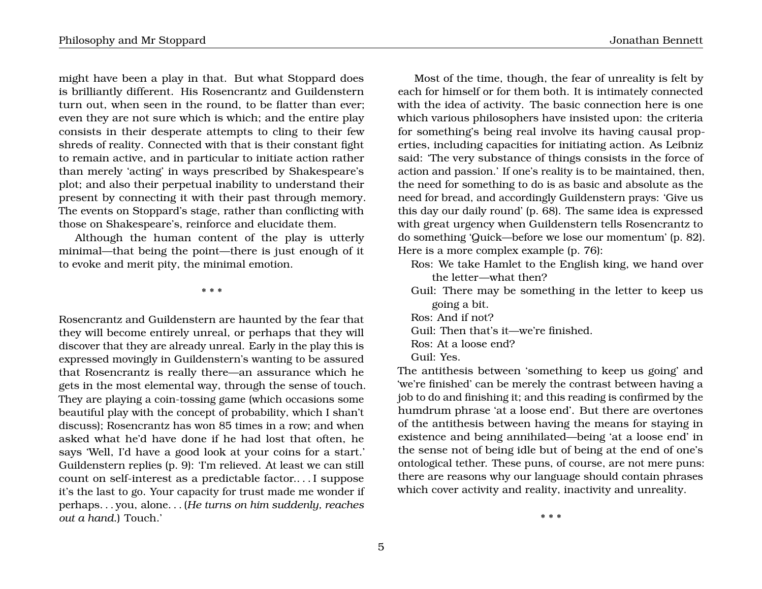might have been a play in that. But what Stoppard does is brilliantly different. His Rosencrantz and Guildenstern turn out, when seen in the round, to be flatter than ever; even they are not sure which is which; and the entire play consists in their desperate attempts to cling to their few shreds of reality. Connected with that is their constant fight to remain active, and in particular to initiate action rather than merely 'acting' in ways prescribed by Shakespeare's plot; and also their perpetual inability to understand their present by connecting it with their past through memory. The events on Stoppard's stage, rather than conflicting with those on Shakespeare's, reinforce and elucidate them.

Although the human content of the play is utterly minimal—that being the point—there is just enough of it to evoke and merit pity, the minimal emotion.

\* \* \*

Rosencrantz and Guildenstern are haunted by the fear that they will become entirely unreal, or perhaps that they will discover that they are already unreal. Early in the play this is expressed movingly in Guildenstern's wanting to be assured that Rosencrantz is really there—an assurance which he gets in the most elemental way, through the sense of touch. They are playing a coin-tossing game (which occasions some beautiful play with the concept of probability, which I shan't discuss); Rosencrantz has won 85 times in a row; and when asked what he'd have done if he had lost that often, he says 'Well, I'd have a good look at your coins for a start.' Guildenstern replies (p. 9): 'I'm relieved. At least we can still count on self-interest as a predictable factor.. . . I suppose it's the last to go. Your capacity for trust made me wonder if perhaps. . . you, alone. . . (*He turns on him suddenly, reaches out a hand*.) Touch.'

Most of the time, though, the fear of unreality is felt by each for himself or for them both. It is intimately connected with the idea of activity. The basic connection here is one which various philosophers have insisted upon: the criteria for something's being real involve its having causal properties, including capacities for initiating action. As Leibniz said: 'The very substance of things consists in the force of action and passion.' If one's reality is to be maintained, then, the need for something to do is as basic and absolute as the need for bread, and accordingly Guildenstern prays: 'Give us this day our daily round' (p. 68). The same idea is expressed with great urgency when Guildenstern tells Rosencrantz to do something 'Quick—before we lose our momentum' (p. 82). Here is a more complex example (p. 76):

Ros: We take Hamlet to the English king, we hand over the letter—what then?

Guil: There may be something in the letter to keep us going a bit.

Ros: And if not?

- Guil: Then that's it—we're finished.
- Ros: At a loose end?

Guil: Yes.

The antithesis between 'something to keep us going' and 'we're finished' can be merely the contrast between having a job to do and finishing it; and this reading is confirmed by the humdrum phrase 'at a loose end'. But there are overtones of the antithesis between having the means for staying in existence and being annihilated—being 'at a loose end' in the sense not of being idle but of being at the end of one's ontological tether. These puns, of course, are not mere puns: there are reasons why our language should contain phrases which cover activity and reality, inactivity and unreality.

\* \* \*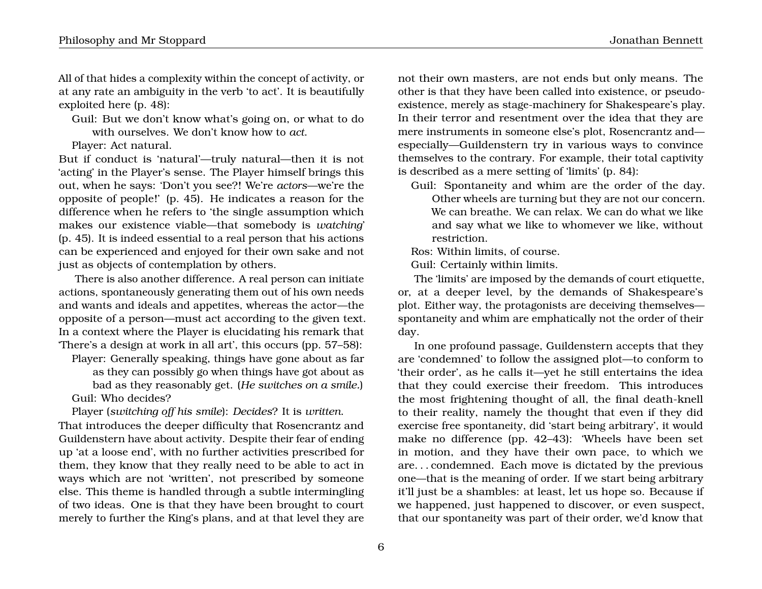All of that hides a complexity within the concept of activity, or at any rate an ambiguity in the verb 'to act'. It is beautifully exploited here (p. 48):

Guil: But we don't know what's going on, or what to do with ourselves. We don't know how to *act*.

Player: Act natural.

But if conduct is 'natural'—truly natural—then it is not 'acting' in the Player's sense. The Player himself brings this out, when he says: 'Don't you see?! We're *actors*—we're the opposite of people!' (p. 45). He indicates a reason for the difference when he refers to 'the single assumption which makes our existence viable—that somebody is *watching*' (p. 45). It is indeed essential to a real person that his actions can be experienced and enjoyed for their own sake and not just as objects of contemplation by others.

There is also another difference. A real person can initiate actions, spontaneously generating them out of his own needs and wants and ideals and appetites, whereas the actor—the opposite of a person—must act according to the given text. In a context where the Player is elucidating his remark that 'There's a design at work in all art', this occurs (pp. 57–58):

Player: Generally speaking, things have gone about as far as they can possibly go when things have got about as bad as they reasonably get. (*He switches on a smile.*) Guil: Who decides?

Player (*switching off his smile*): *Decides*? It is *written*. That introduces the deeper difficulty that Rosencrantz and Guildenstern have about activity. Despite their fear of ending up 'at a loose end', with no further activities prescribed for them, they know that they really need to be able to act in ways which are not 'written', not prescribed by someone else. This theme is handled through a subtle intermingling of two ideas. One is that they have been brought to court merely to further the King's plans, and at that level they are

not their own masters, are not ends but only means. The other is that they have been called into existence, or pseudoexistence, merely as stage-machinery for Shakespeare's play. In their terror and resentment over the idea that they are mere instruments in someone else's plot, Rosencrantz and especially—Guildenstern try in various ways to convince themselves to the contrary. For example, their total captivity is described as a mere setting of 'limits' (p. 84):

- Guil: Spontaneity and whim are the order of the day. Other wheels are turning but they are not our concern. We can breathe. We can relax. We can do what we like and say what we like to whomever we like, without restriction.
- Ros: Within limits, of course.

Guil: Certainly within limits.

The 'limits' are imposed by the demands of court etiquette, or, at a deeper level, by the demands of Shakespeare's plot. Either way, the protagonists are deceiving themselves spontaneity and whim are emphatically not the order of their day.

In one profound passage, Guildenstern accepts that they are 'condemned' to follow the assigned plot—to conform to 'their order', as he calls it—yet he still entertains the idea that they could exercise their freedom. This introduces the most frightening thought of all, the final death-knell to their reality, namely the thought that even if they did exercise free spontaneity, did 'start being arbitrary', it would make no difference (pp. 42–43): 'Wheels have been set in motion, and they have their own pace, to which we are. . . condemned. Each move is dictated by the previous one—that is the meaning of order. If we start being arbitrary it'll just be a shambles: at least, let us hope so. Because if we happened, just happened to discover, or even suspect, that our spontaneity was part of their order, we'd know that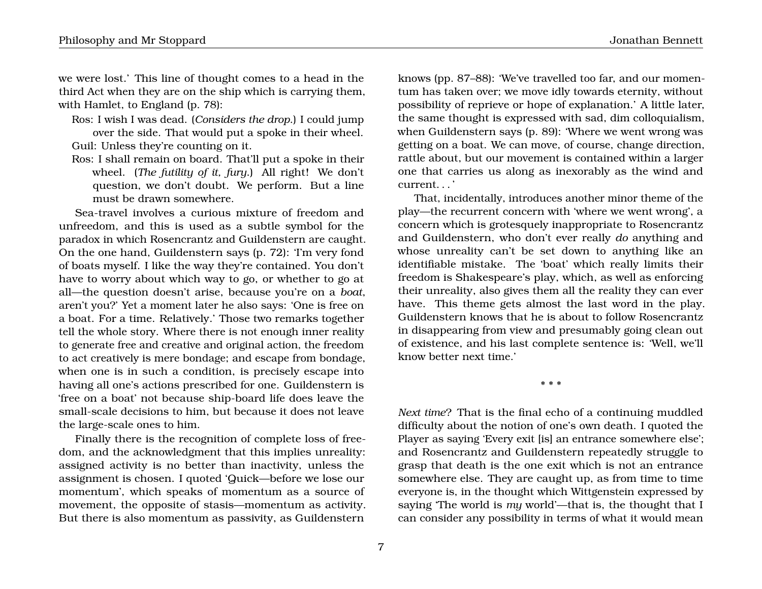we were lost.' This line of thought comes to a head in the third Act when they are on the ship which is carrying them, with Hamlet, to England (p. 78):

- Ros: I wish I was dead. (*Considers the drop*.) I could jump over the side. That would put a spoke in their wheel. Guil: Unless they're counting on it.
- Ros: I shall remain on board. That'll put a spoke in their wheel. (*The futility of it, fury*.) All right! We don't question, we don't doubt. We perform. But a line must be drawn somewhere.

Sea-travel involves a curious mixture of freedom and unfreedom, and this is used as a subtle symbol for the paradox in which Rosencrantz and Guildenstern are caught. On the one hand, Guildenstern says (p. 72): 'I'm very fond of boats myself. I like the way they're contained. You don't have to worry about which way to go, or whether to go at all—the question doesn't arise, because you're on a *boat*, aren't you?' Yet a moment later he also says: 'One is free on a boat. For a time. Relatively.' Those two remarks together tell the whole story. Where there is not enough inner reality to generate free and creative and original action, the freedom to act creatively is mere bondage; and escape from bondage, when one is in such a condition, is precisely escape into having all one's actions prescribed for one. Guildenstern is 'free on a boat' not because ship-board life does leave the small-scale decisions to him, but because it does not leave the large-scale ones to him.

Finally there is the recognition of complete loss of freedom, and the acknowledgment that this implies unreality: assigned activity is no better than inactivity, unless the assignment is chosen. I quoted 'Quick—before we lose our momentum', which speaks of momentum as a source of movement, the opposite of stasis—momentum as activity. But there is also momentum as passivity, as Guildenstern

knows (pp. 87–88): 'We've travelled too far, and our momentum has taken over; we move idly towards eternity, without possibility of reprieve or hope of explanation.' A little later, the same thought is expressed with sad, dim colloquialism, when Guildenstern says (p. 89): 'Where we went wrong was getting on a boat. We can move, of course, change direction, rattle about, but our movement is contained within a larger one that carries us along as inexorably as the wind and current. . . '

That, incidentally, introduces another minor theme of the play—the recurrent concern with 'where we went wrong', a concern which is grotesquely inappropriate to Rosencrantz and Guildenstern, who don't ever really *do* anything and whose unreality can't be set down to anything like an identifiable mistake. The 'boat' which really limits their freedom is Shakespeare's play, which, as well as enforcing their unreality, also gives them all the reality they can ever have. This theme gets almost the last word in the play. Guildenstern knows that he is about to follow Rosencrantz in disappearing from view and presumably going clean out of existence, and his last complete sentence is: 'Well, we'll know better next time.'

\* \* \*

*Next time*? That is the final echo of a continuing muddled difficulty about the notion of one's own death. I quoted the Player as saying 'Every exit [is] an entrance somewhere else'; and Rosencrantz and Guildenstern repeatedly struggle to grasp that death is the one exit which is not an entrance somewhere else. They are caught up, as from time to time everyone is, in the thought which Wittgenstein expressed by saying 'The world is *my* world'—that is, the thought that I can consider any possibility in terms of what it would mean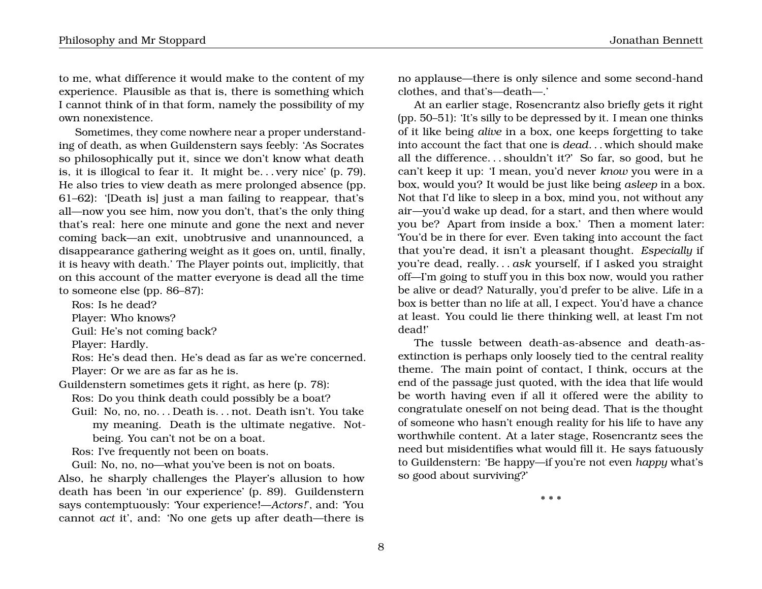to me, what difference it would make to the content of my experience. Plausible as that is, there is something which I cannot think of in that form, namely the possibility of my own nonexistence.

Sometimes, they come nowhere near a proper understanding of death, as when Guildenstern says feebly: 'As Socrates so philosophically put it, since we don't know what death is, it is illogical to fear it. It might be. . . very nice' (p. 79). He also tries to view death as mere prolonged absence (pp. 61–62): '[Death is] just a man failing to reappear, that's all—now you see him, now you don't, that's the only thing that's real: here one minute and gone the next and never coming back—an exit, unobtrusive and unannounced, a disappearance gathering weight as it goes on, until, finally, it is heavy with death.' The Player points out, implicitly, that on this account of the matter everyone is dead all the time to someone else (pp. 86–87):

Ros: Is he dead?

Player: Who knows?

Guil: He's not coming back?

Player: Hardly.

Ros: He's dead then. He's dead as far as we're concerned. Player: Or we are as far as he is.

Guildenstern sometimes gets it right, as here (p. 78):

Ros: Do you think death could possibly be a boat?

Guil: No, no, no. . . Death is. . . not. Death isn't. You take my meaning. Death is the ultimate negative. Notbeing. You can't not be on a boat.

Ros: I've frequently not been on boats.

Guil: No, no, no—what you've been is not on boats.

Also, he sharply challenges the Player's allusion to how death has been 'in our experience' (p. 89). Guildenstern says contemptuously: 'Your experience!—*Actors!*', and: 'You cannot *act* it', and: 'No one gets up after death—there is

no applause—there is only silence and some second-hand clothes, and that's—death—.'

At an earlier stage, Rosencrantz also briefly gets it right (pp. 50–51): 'It's silly to be depressed by it. I mean one thinks of it like being *alive* in a box, one keeps forgetting to take into account the fact that one is *dead*. . . which should make all the difference. . . shouldn't it?' So far, so good, but he can't keep it up: 'I mean, you'd never *know* you were in a box, would you? It would be just like being *asleep* in a box. Not that I'd like to sleep in a box, mind you, not without any air—you'd wake up dead, for a start, and then where would you be? Apart from inside a box.' Then a moment later: 'You'd be in there for ever. Even taking into account the fact that you're dead, it isn't a pleasant thought. *Especially* if you're dead, really. . . *ask* yourself, if I asked you straight off—I'm going to stuff you in this box now, would you rather be alive or dead? Naturally, you'd prefer to be alive. Life in a box is better than no life at all, I expect. You'd have a chance at least. You could lie there thinking well, at least I'm not dead!'

The tussle between death-as-absence and death-asextinction is perhaps only loosely tied to the central reality theme. The main point of contact, I think, occurs at the end of the passage just quoted, with the idea that life would be worth having even if all it offered were the ability to congratulate oneself on not being dead. That is the thought of someone who hasn't enough reality for his life to have any worthwhile content. At a later stage, Rosencrantz sees the need but misidentifies what would fill it. He says fatuously to Guildenstern: 'Be happy—if you're not even *happy* what's so good about surviving?'

\* \* \*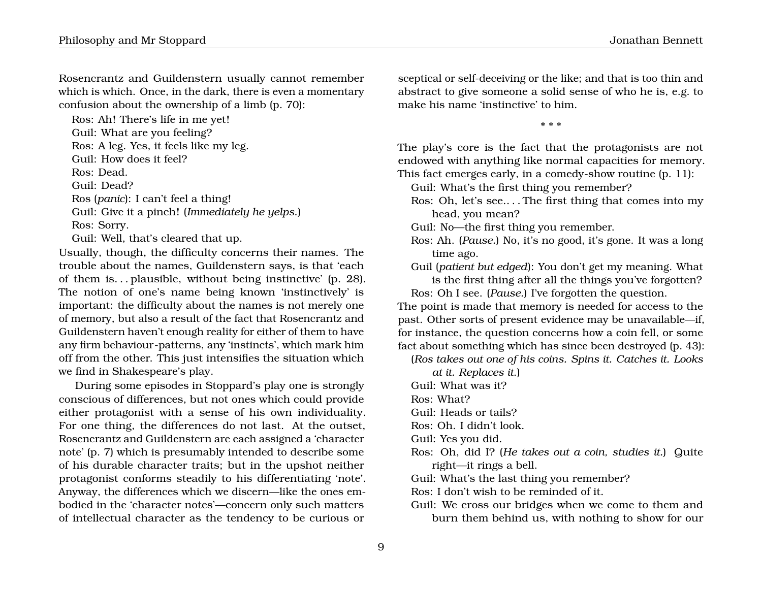Rosencrantz and Guildenstern usually cannot remember which is which. Once, in the dark, there is even a momentary confusion about the ownership of a limb (p. 70):

Ros: Ah! There's life in me yet!

Guil: What are you feeling?

Ros: A leg. Yes, it feels like my leg.

Guil: How does it feel?

Ros: Dead.

Guil: Dead?

Ros (*panic*): I can't feel a thing!

Guil: Give it a pinch! (*Immediately he yelps*.)

Ros: Sorry.

Guil: Well, that's cleared that up.

Usually, though, the difficulty concerns their names. The trouble about the names, Guildenstern says, is that 'each of them is. . . plausible, without being instinctive' (p. 28). The notion of one's name being known 'instinctively' is important: the difficulty about the names is not merely one of memory, but also a result of the fact that Rosencrantz and Guildenstern haven't enough reality for either of them to have any firm behaviour-patterns, any 'instincts', which mark him off from the other. This just intensifies the situation which we find in Shakespeare's play.

During some episodes in Stoppard's play one is strongly conscious of differences, but not ones which could provide either protagonist with a sense of his own individuality. For one thing, the differences do not last. At the outset, Rosencrantz and Guildenstern are each assigned a 'character note' (p. 7) which is presumably intended to describe some of his durable character traits; but in the upshot neither protagonist conforms steadily to his differentiating 'note'. Anyway, the differences which we discern—like the ones embodied in the 'character notes'—concern only such matters of intellectual character as the tendency to be curious or

sceptical or self-deceiving or the like; and that is too thin and abstract to give someone a solid sense of who he is, e.g. to make his name 'instinctive' to him.

\* \* \*

The play's core is the fact that the protagonists are not endowed with anything like normal capacities for memory. This fact emerges early, in a comedy-show routine (p. 11):

Guil: What's the first thing you remember?

- Ros: Oh, let's see.. . . The first thing that comes into my head, you mean?
- Guil: No—the first thing you remember.
- Ros: Ah. (*Pause.*) No, it's no good, it's gone. It was a long time ago.
- Guil (*patient but edged*): You don't get my meaning. What is the first thing after all the things you've forgotten?

Ros: Oh I see. (*Pause.*) I've forgotten the question. The point is made that memory is needed for access to the past. Other sorts of present evidence may be unavailable—if, for instance, the question concerns how a coin fell, or some fact about something which has since been destroyed (p. 43):

(*Ros takes out one of his coins. Spins it. Catches it. Looks*

*at it. Replaces it*.)

Guil: What was it?

Ros: What?

Guil: Heads or tails?

Ros: Oh. I didn't look.

Guil: Yes you did.

Ros: Oh, did I? (*He takes out a coin, studies it.*) Quite right—it rings a bell.

Guil: What's the last thing you remember?

Ros: I don't wish to be reminded of it.

Guil: We cross our bridges when we come to them and burn them behind us, with nothing to show for our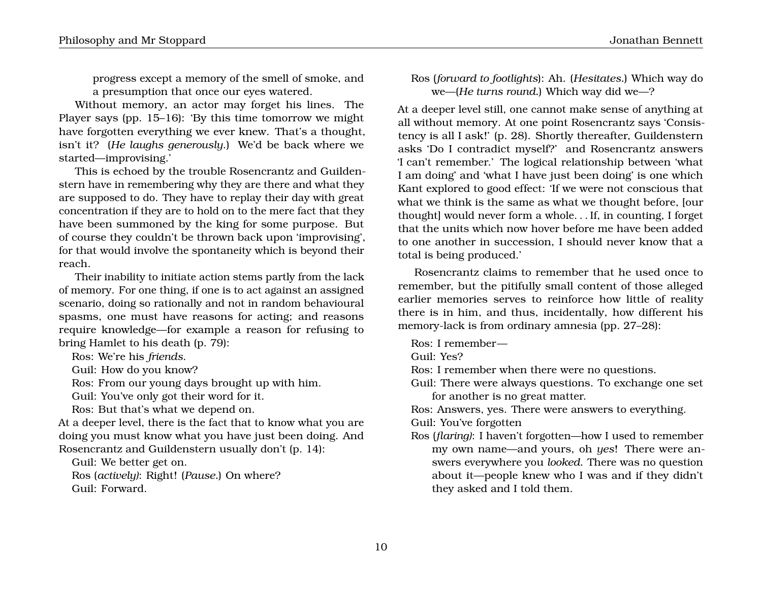progress except a memory of the smell of smoke, and a presumption that once our eyes watered.

Without memory, an actor may forget his lines. The Player says (pp. 15–16): 'By this time tomorrow we might have forgotten everything we ever knew. That's a thought, isn't it? (*He laughs generously*.) We'd be back where we started—improvising.'

This is echoed by the trouble Rosencrantz and Guildenstern have in remembering why they are there and what they are supposed to do. They have to replay their day with great concentration if they are to hold on to the mere fact that they have been summoned by the king for some purpose. But of course they couldn't be thrown back upon 'improvising', for that would involve the spontaneity which is beyond their reach.

Their inability to initiate action stems partly from the lack of memory. For one thing, if one is to act against an assigned scenario, doing so rationally and not in random behavioural spasms, one must have reasons for acting; and reasons require knowledge—for example a reason for refusing to bring Hamlet to his death (p. 79):

Ros: We're his *friends*.

Guil: How do you know?

Ros: From our young days brought up with him.

Guil: You've only got their word for it.

Ros: But that's what we depend on.

At a deeper level, there is the fact that to know what you are doing you must know what you have just been doing. And Rosencrantz and Guildenstern usually don't (p. 14):

Guil: We better get on.

Ros (*actively)*: Right! (*Pause.*) On where?

Guil: Forward.

Ros (*forward to footlights*): Ah. (*Hesitates.*) Which way do we—(*He turns round.*) Which way did we—?

At a deeper level still, one cannot make sense of anything at all without memory. At one point Rosencrantz says 'Consistency is all I ask!' (p. 28). Shortly thereafter, Guildenstern asks 'Do I contradict myself?' and Rosencrantz answers 'I can't remember.' The logical relationship between 'what I am doing' and 'what I have just been doing' is one which Kant explored to good effect: 'If we were not conscious that what we think is the same as what we thought before, [our thought] would never form a whole. . . If, in counting, I forget that the units which now hover before me have been added to one another in succession, I should never know that a total is being produced.'

Rosencrantz claims to remember that he used once to remember, but the pitifully small content of those alleged earlier memories serves to reinforce how little of reality there is in him, and thus, incidentally, how different his memory-lack is from ordinary amnesia (pp. 27–28):

Ros: I remember—

Guil: Yes?

- Ros: I remember when there were no questions.
- Guil: There were always questions. To exchange one set for another is no great matter.

Ros: Answers, yes. There were answers to everything. Guil: You've forgotten

Ros (*flaring)*: I haven't forgotten—how I used to remember my own name—and yours, oh *yes*! There were answers everywhere you *looked*. There was no question about it—people knew who I was and if they didn't they asked and I told them.